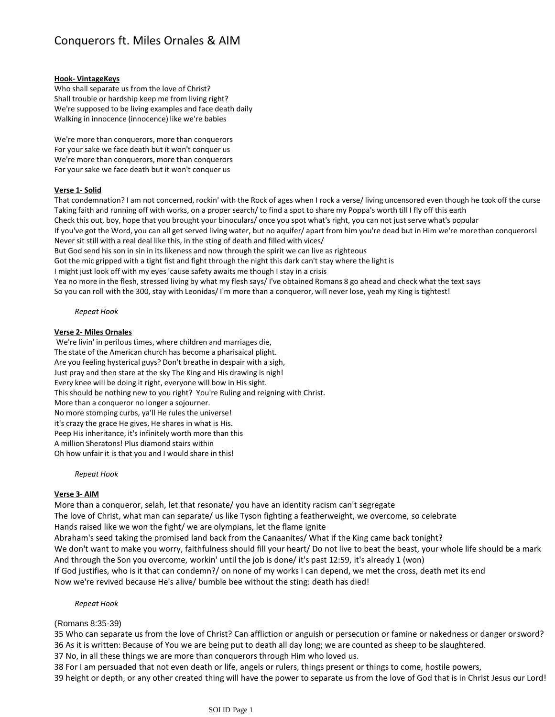# Conquerors ft. Miles Ornales & AIM

#### **Hook- VintageKeys**

Who shall separate us from the love of Christ? Shall trouble or hardship keep me from living right? We're supposed to be living examples and face death daily Walking in innocence (innocence) like we're babies

We're more than conquerors, more than conquerors For your sake we face death but it won't conquer us We're more than conquerors, more than conquerors For your sake we face death but it won't conquer us

## **Verse 1- Solid**

That condemnation? I am not concerned, rockin' with the Rock of ages when I rock a verse/ living uncensored even though he took off the curse Taking faith and running off with works, on a proper search/ to find a spot to share my Poppa's worth till I fly off this earth Check this out, boy, hope that you brought your binoculars/ once you spot what's right, you can not just serve what's popular If you've got the Word, you can all get served living water, but no aquifer/ apart from him you're dead but in Him we're morethan conquerors! Never sit still with a real deal like this, in the sting of death and filled with vices/ But God send his son in sin in its likeness and now through the spirit we can live as righteous Got the mic gripped with a tight fist and fight through the night this dark can't stay where the light is I might just look off with my eyes 'cause safety awaits me though I stay in a crisis Yea no more in the flesh, stressed living by what my flesh says/ I've obtained Romans 8 go ahead and check what the text says So you can roll with the 300, stay with Leonidas/ I'm more than a conqueror, will never lose, yeah my King is tightest!

### *Repeat Hook*

### **Verse 2- Miles Ornales**

We're livin' in perilous times, where children and marriages die, The state of the American church has become a pharisaical plight. Are you feeling hysterical guys? Don't breathe in despair with a sigh, Just pray and then stare at the sky The King and His drawing is nigh! Every knee will be doing it right, everyone will bow in His sight. This should be nothing new to you right? You're Ruling and reigning with Christ. More than a conqueror no longer a sojourner. No more stomping curbs, ya'll He rules the universe! it's crazy the grace He gives, He shares in what is His. Peep His inheritance, it's infinitely worth more than this A million Sheratons! Plus diamond stairs within Oh how unfair it is that you and I would share in this!

*Repeat Hook*

## **Verse 3- AIM**

More than a conqueror, selah, let that resonate/ you have an identity racism can't segregate

The love of Christ, what man can separate/ us like Tyson fighting a featherweight, we overcome, so celebrate

Hands raised like we won the fight/ we are olympians, let the flame ignite

Abraham's seed taking the promised land back from the Canaanites/ What if the King came back tonight?

We don't want to make you worry, faithfulness should fill your heart/ Do not live to beat the beast, your whole life should be a mark And through the Son you overcome, workin' until the job is done/ it's past 12:59, it's already 1 (won)

If God justifies, who is it that can condemn?/ on none of my works I can depend, we met the cross, death met its end Now we're revived because He's alive/ bumble bee without the sting: death has died!

## *Repeat Hook*

## (Romans 8:35-39)

35 Who can separate us from the love of Christ? Can affliction or anguish or persecution or famine or nakedness or danger or sword? 36 As it is written: Because of You we are being put to death all day long; we are counted as sheep to be slaughtered.

37 No, in all these things we are more than conquerors through Him who loved us.

38 For I am persuaded that not even death or life, angels or rulers, things present or things to come, hostile powers,

39 height or depth, or any other created thing will have the power to separate us from the love of God that is in Christ Jesus our Lord!